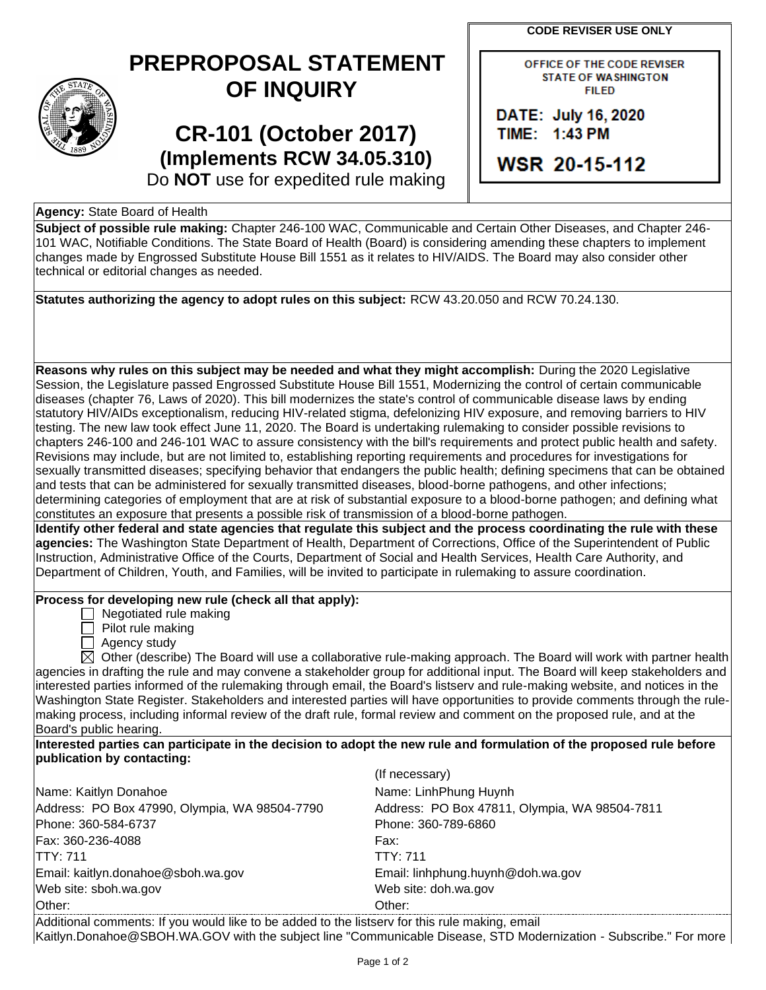**CODE REVISER USE ONLY**

| $\widehat{\text{STAT}_E}$<br>Q |
|--------------------------------|
| 1889                           |

## **PREPROPOSAL STATEMENT OF INQUIRY**

**CR-101 (October 2017) (Implements RCW 34.05.310)** OFFICE OF THE CODE REVISER **STATE OF WASHINGTON FILED** 

DATE: July 16, 2020 TIME: 1:43 PM

**WSR 20-15-112** 

Do **NOT** use for expedited rule making

## **Agency:** State Board of Health

**Subject of possible rule making:** Chapter 246-100 WAC, Communicable and Certain Other Diseases, and Chapter 246- 101 WAC, Notifiable Conditions. The State Board of Health (Board) is considering amending these chapters to implement changes made by Engrossed Substitute House Bill 1551 as it relates to HIV/AIDS. The Board may also consider other technical or editorial changes as needed.

| Statutes authorizing the agency to adopt rules on this subject: RCW 43.20.050 and RCW 70.24.130.                                                                                                                                                                                                                                                                                                                                                                                                                                                                                                                                          |                                                                                                                                                                                                                                                  |  |
|-------------------------------------------------------------------------------------------------------------------------------------------------------------------------------------------------------------------------------------------------------------------------------------------------------------------------------------------------------------------------------------------------------------------------------------------------------------------------------------------------------------------------------------------------------------------------------------------------------------------------------------------|--------------------------------------------------------------------------------------------------------------------------------------------------------------------------------------------------------------------------------------------------|--|
|                                                                                                                                                                                                                                                                                                                                                                                                                                                                                                                                                                                                                                           |                                                                                                                                                                                                                                                  |  |
|                                                                                                                                                                                                                                                                                                                                                                                                                                                                                                                                                                                                                                           |                                                                                                                                                                                                                                                  |  |
| Reasons why rules on this subject may be needed and what they might accomplish: During the 2020 Legislative<br>diseases (chapter 76, Laws of 2020). This bill modernizes the state's control of communicable disease laws by ending<br>testing. The new law took effect June 11, 2020. The Board is undertaking rulemaking to consider possible revisions to                                                                                                                                                                                                                                                                              | Session, the Legislature passed Engrossed Substitute House Bill 1551, Modernizing the control of certain communicable<br>statutory HIV/AIDs exceptionalism, reducing HIV-related stigma, defelonizing HIV exposure, and removing barriers to HIV |  |
| chapters 246-100 and 246-101 WAC to assure consistency with the bill's requirements and protect public health and safety.<br>Revisions may include, but are not limited to, establishing reporting requirements and procedures for investigations for<br>sexually transmitted diseases; specifying behavior that endangers the public health; defining specimens that can be obtained<br>and tests that can be administered for sexually transmitted diseases, blood-borne pathogens, and other infections;<br>determining categories of employment that are at risk of substantial exposure to a blood-borne pathogen; and defining what |                                                                                                                                                                                                                                                  |  |
| constitutes an exposure that presents a possible risk of transmission of a blood-borne pathogen.<br>Identify other federal and state agencies that regulate this subject and the process coordinating the rule with these                                                                                                                                                                                                                                                                                                                                                                                                                 |                                                                                                                                                                                                                                                  |  |
| agencies: The Washington State Department of Health, Department of Corrections, Office of the Superintendent of Public<br>Instruction, Administrative Office of the Courts, Department of Social and Health Services, Health Care Authority, and<br>Department of Children, Youth, and Families, will be invited to participate in rulemaking to assure coordination.                                                                                                                                                                                                                                                                     |                                                                                                                                                                                                                                                  |  |
| Process for developing new rule (check all that apply):                                                                                                                                                                                                                                                                                                                                                                                                                                                                                                                                                                                   |                                                                                                                                                                                                                                                  |  |
| Negotiated rule making<br>Pilot rule making<br>$\Box$ Agency study                                                                                                                                                                                                                                                                                                                                                                                                                                                                                                                                                                        |                                                                                                                                                                                                                                                  |  |
|                                                                                                                                                                                                                                                                                                                                                                                                                                                                                                                                                                                                                                           | $\boxtimes$ Other (describe) The Board will use a collaborative rule-making approach. The Board will work with partner health                                                                                                                    |  |
| agencies in drafting the rule and may convene a stakeholder group for additional input. The Board will keep stakeholders and                                                                                                                                                                                                                                                                                                                                                                                                                                                                                                              |                                                                                                                                                                                                                                                  |  |
| interested parties informed of the rulemaking through email, the Board's listserv and rule-making website, and notices in the<br>Washington State Register. Stakeholders and interested parties will have opportunities to provide comments through the rule-                                                                                                                                                                                                                                                                                                                                                                             |                                                                                                                                                                                                                                                  |  |
| making process, including informal review of the draft rule, formal review and comment on the proposed rule, and at the                                                                                                                                                                                                                                                                                                                                                                                                                                                                                                                   |                                                                                                                                                                                                                                                  |  |
| Board's public hearing.                                                                                                                                                                                                                                                                                                                                                                                                                                                                                                                                                                                                                   |                                                                                                                                                                                                                                                  |  |
| Interested parties can participate in the decision to adopt the new rule and formulation of the proposed rule before<br>publication by contacting:                                                                                                                                                                                                                                                                                                                                                                                                                                                                                        |                                                                                                                                                                                                                                                  |  |
|                                                                                                                                                                                                                                                                                                                                                                                                                                                                                                                                                                                                                                           | (If necessary)                                                                                                                                                                                                                                   |  |
| Name: Kaitlyn Donahoe                                                                                                                                                                                                                                                                                                                                                                                                                                                                                                                                                                                                                     | Name: LinhPhung Huynh                                                                                                                                                                                                                            |  |
| Address: PO Box 47990, Olympia, WA 98504-7790                                                                                                                                                                                                                                                                                                                                                                                                                                                                                                                                                                                             | Address: PO Box 47811, Olympia, WA 98504-7811                                                                                                                                                                                                    |  |
| Phone: 360-584-6737                                                                                                                                                                                                                                                                                                                                                                                                                                                                                                                                                                                                                       | Phone: 360-789-6860                                                                                                                                                                                                                              |  |
| Fax: 360-236-4088                                                                                                                                                                                                                                                                                                                                                                                                                                                                                                                                                                                                                         | Fax:                                                                                                                                                                                                                                             |  |
| <b>TTY: 711</b>                                                                                                                                                                                                                                                                                                                                                                                                                                                                                                                                                                                                                           | <b>TTY: 711</b>                                                                                                                                                                                                                                  |  |
| Email: kaitlyn.donahoe@sboh.wa.gov                                                                                                                                                                                                                                                                                                                                                                                                                                                                                                                                                                                                        | Email: linhphung.huynh@doh.wa.gov                                                                                                                                                                                                                |  |
| Web site: sboh.wa.gov                                                                                                                                                                                                                                                                                                                                                                                                                                                                                                                                                                                                                     | Web site: doh.wa.gov                                                                                                                                                                                                                             |  |
| Other:                                                                                                                                                                                                                                                                                                                                                                                                                                                                                                                                                                                                                                    | Other:                                                                                                                                                                                                                                           |  |
|                                                                                                                                                                                                                                                                                                                                                                                                                                                                                                                                                                                                                                           |                                                                                                                                                                                                                                                  |  |

Additional comments: If you would like to be added to the listserv for this rule making, email Kaitlyn.Donahoe@SBOH.WA.GOV with the subject line "Communicable Disease, STD Modernization - Subscribe." For more